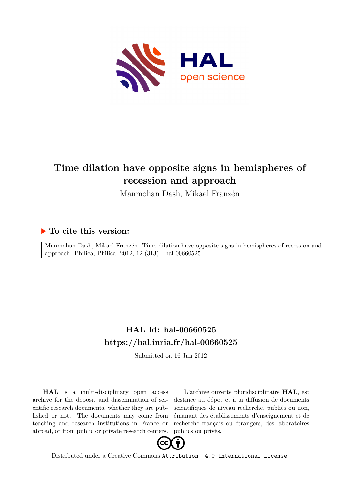

# **Time dilation have opposite signs in hemispheres of recession and approach**

Manmohan Dash, Mikael Franzén

### **To cite this version:**

Manmohan Dash, Mikael Franzén. Time dilation have opposite signs in hemispheres of recession and approach. Philica, Philica, 2012, 12 (313). hal-00660525

## **HAL Id: hal-00660525 <https://hal.inria.fr/hal-00660525>**

Submitted on 16 Jan 2012

**HAL** is a multi-disciplinary open access archive for the deposit and dissemination of scientific research documents, whether they are published or not. The documents may come from teaching and research institutions in France or abroad, or from public or private research centers.

L'archive ouverte pluridisciplinaire **HAL**, est destinée au dépôt et à la diffusion de documents scientifiques de niveau recherche, publiés ou non, émanant des établissements d'enseignement et de recherche français ou étrangers, des laboratoires publics ou privés.



Distributed under a Creative Commons [Attribution| 4.0 International License](http://creativecommons.org/licenses/by/4.0/)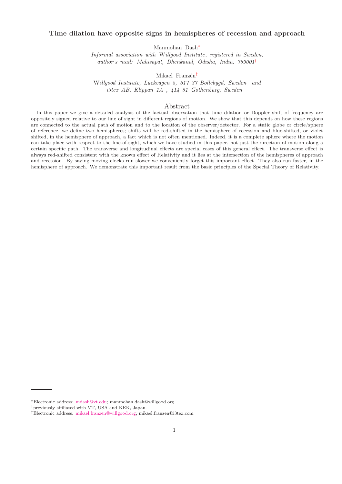#### Time dilation have opposite signs in hemispheres of recession and approach

Manmohan Dash[∗](#page-1-0)

Informal association with Willgood Institute, registered in Sweden, author's mail: Mahisapat, Dhenkanal, Odisha, India, 759001[†](#page-1-1)

Mikael Franzén[‡](#page-1-2)

Willgood Institute, Luckvägen 5, 517 37 Bollebygd, Sweden and i3tex AB, Klippan 1A , 414 51 Gothenburg, Sweden

#### Abstract

In this paper we give a detailed analysis of the factual observation that time dilation or Doppler shift of frequency are oppositely signed relative to our line of sight in different regions of motion. We show that this depends on how these regions are connected to the actual path of motion and to the location of the observer/detector. For a static globe or circle/sphere of reference, we define two hemispheres; shifts will be red-shifted in the hemisphere of recession and blue-shifted, or violet shifted, in the hemisphere of approach, a fact which is not often mentioned. Indeed, it is a complete sphere where the motion can take place with respect to the line-of-sight, which we have studied in this paper, not just the direction of motion along a certain specific path. The transverse and longitudinal effects are special cases of this general effect. The transverse effect is always red-shifted consistent with the known effect of Relativity and it lies at the intersection of the hemispheres of approach and recession. By saying moving clocks run slower we conveniently forget this important effect. They also run faster, in the hemisphere of approach. We demonstrate this important result from the basic principles of the Special Theory of Relativity.

<span id="page-1-0"></span><sup>∗</sup>Electronic address: [mdash@vt.edu;](mailto:mdash@vt.edu) manmohan.dash@willgood.org

<span id="page-1-1"></span><sup>†</sup>previously affiliated with VT, USA and KEK, Japan.

<span id="page-1-2"></span><sup>‡</sup>Electronic address: [mikael.franzen@willgood.org;](mailto:mikael.franzen@willgood.org) mikael.franzen@i3tex.com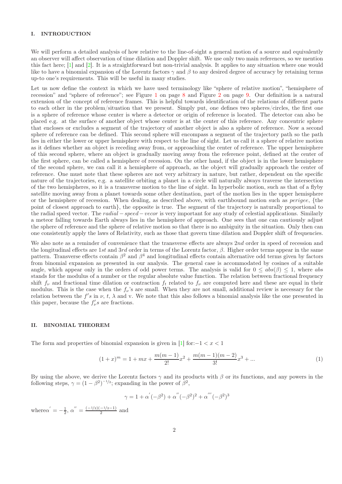#### I. INTRODUCTION

We will perform a detailed analysis of how relative to the line-of-sight a general motion of a source and equivalently an observer will affect observation of time dilation and Doppler shift. We use only two main references, so we mention this fact here; [\[1\]](#page-10-0) and [\[2\]](#page-10-1). It is a straightforward but non-trivial analysis. It applies to any situation where one would like to have a binomial expansion of the Lorentz factors  $\gamma$  and  $\beta$  to any desired degree of accuracy by retaining terms up-to one's requirements. This will be useful in many studies.

Let us now define the context in which we have used terminology like "sphere of relative motion", "hemisphere of recession" and "sphere of reference"; see Figure [1](#page-8-0) on page [8](#page-8-0) and Figure [2](#page-9-0) on page [9.](#page-9-0) Our definition is a natural extension of the concept of reference frames. This is helpful towards identification of the relations of different parts to each other in the problem/situation that we present. Simply put, one defines two spheres/circles, the first one is a sphere of reference whose center is where a detector or origin of reference is located. The detector can also be placed e.g. at the surface of another object whose center is at the center of this reference. Any concentric sphere that encloses or excludes a segment of the trajectory of another object is also a sphere of reference. Now a second sphere of reference can be defined. This second sphere will encompass a segment of the trajectory path so the path lies in either the lower or upper hemisphere with respect to the line of sight. Let us call it a sphere of relative motion as it defines whether an object is receding away from, or approaching the center of reference. The upper hemisphere of this second sphere, where an object is gradually moving away from the reference point, defined at the center of the first sphere, can be called a hemisphere of recession. On the other hand, if the object is in the lower hemisphere of the second sphere, we can call it a hemisphere of approach, as the object will gradually approach the center of reference. One must note that these spheres are not very arbitrary in nature, but rather, dependent on the specific nature of the trajectories, e.g. a satellite orbiting a planet in a circle will naturally always traverse the intersection of the two hemispheres, so it is a transverse motion to the line of sight. In hyperbolic motion, such as that of a flyby satellite moving away from a planet towards some other destination, part of the motion lies in the upper hemisphere or the hemisphere of recession. When dealing, as described above, with earthbound motion such as perigee, {the point of closest approach to earth}, the opposite is true. The segment of the trajectory is naturally proportional to the radial speed vector. The radial – speed – vecor is very important for any study of celestial applications. Similarly a meteor falling towards Earth always lies in the hemisphere of approach. One sees that one can cautiously adjust the sphere of reference and the sphere of relative motion so that there is no ambiguity in the situation. Only then can one consistently apply the laws of Relativity, such as those that govern time dilation and Doppler shift of frequencies.

We also note as a reminder of convenience that the transverse effects are always 2nd order in speed of recession and the longitudinal effects are 1st and 3rd order in terms of the Lorentz factor,  $\beta$ . Higher order terms appear in the same pattern. Transverse effects contain  $\beta^2$  and  $\beta^4$  and longitudinal effects contain alternative odd terms given by factors from binomial expansion as presented in our analysis. The general case is accommodated by cosines of a suitable angle, which appear only in the orders of odd power terms. The analysis is valid for  $0 \leq abs(\beta) \leq 1$ , where abs stands for the modulus of a number or the regular absolute value function. The relation between fractional frequency shift  $f_{\nu}$  and fractional time dilation or contraction  $f_t$  related to  $f_{\nu}$  are computed here and these are equal in their modulus. This is the case when the  $f_{\nu}$ 's are small. When they are not small, additional review is necessary for the relation between the  $f's$  in  $\nu$ ,  $t$ ,  $\lambda$  and v. We note that this also follows a binomial analysis like the one presented in this paper, because the  $f'_{\nu}s$  are fractions.

#### II. BINOMIAL THEOREM

The form and properties of binomial expansion is given in [\[1](#page-10-0)] for:−1 <  $x$  < 1

$$
(1+x)^m = 1 + mx + \frac{m(m-1)}{2!}x^2 + \frac{m(m-1)(m-2)}{3!}x^3 + \dots
$$
 (1)

By using the above, we derive the Lorentz factors  $\gamma$  and its products with  $\beta$  or its functions, and any powers in the following steps,  $\gamma = (1 - \beta^2)^{-1/2}$ ; expanding in the power of  $\beta^2$ ,

$$
\gamma = 1 + \alpha^{'}(-\beta^{2}) + \alpha^{''}(-\beta^{2})^{2} + \alpha^{'''}(-\beta^{2})^{3}
$$

where  $\alpha' = -\frac{1}{2}, \alpha'' = \frac{(-1/2)(-1/2-1)}{2}$  and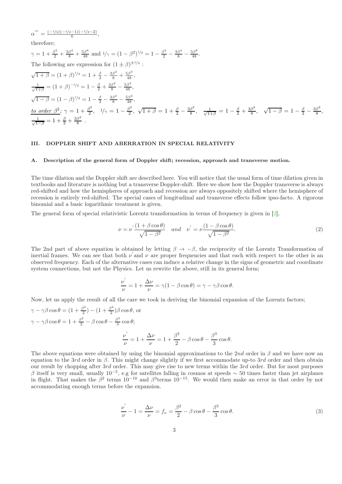α  $^{\prime\prime\prime}$ =  $(-1/2)(-1/2-1)(-1/2-2)$ 6 ,

therefore;

$$
\gamma = 1 + \frac{\beta^2}{2} + \frac{3\beta^4}{8} + \frac{5\beta^8}{48}
$$
 and  $1/\gamma = (1 - \beta^2)^{1/2} = 1 - \frac{\beta^2}{2} - \frac{3\beta^4}{8} - \frac{5\beta^8}{48}$ .  
The following are expression for  $(1 \pm \beta)^{\pm 1/2}$ :  
\n
$$
\sqrt{1 + \beta} = (1 + \beta)^{1/2} = 1 + \frac{\beta}{2} - \frac{3\beta^2}{8} + \frac{5\beta^3}{48},
$$
\n
$$
\frac{1}{\sqrt{1 + \beta}} = (1 + \beta)^{-1/2} = 1 - \frac{\beta}{2} + \frac{3\beta^2}{8} - \frac{5\beta^3}{48},
$$
\n
$$
\sqrt{1 - \beta} = (1 - \beta)^{1/2} = 1 - \frac{\beta}{2} - \frac{3\beta^2}{8} - \frac{5\beta^3}{48},
$$
\n
$$
\frac{t}{\sqrt{1 + \beta}} = 1 + \frac{\beta}{2}, \quad 1/\gamma = 1 - \frac{\beta^2}{2}, \quad \sqrt{1 + \beta} = 1 + \frac{\beta}{2} - \frac{3\beta^2}{8}, \quad \frac{1}{\sqrt{1 + \beta}} = 1 - \frac{\beta}{2} + \frac{3\beta^2}{8}, \quad \sqrt{1 - \beta} = 1 - \frac{\beta}{2} - \frac{3\beta^2}{8},
$$
\n
$$
\frac{1}{\sqrt{1 - \beta}} = 1 + \frac{\beta}{2} + \frac{3\beta^2}{8}.
$$

#### III. DOPPLER SHIFT AND ABERRATION IN SPECIAL RELATIVITY

#### A. Description of the general form of Doppler shift; recession, approach and transverse motion.

The time dilation and the Doppler shift are described here. You will notice that the usual form of time dilation given in textbooks and literature is nothing but a transverse Doppler-shift. Here we show how the Doppler transverse is always red-shifted and how the hemispheres of approach and recession are always oppositely shifted where the hemisphere of recession is entirely red-shifted. The special cases of longitudinal and transverse effects follow ipso-facto. A rigorous binomial and a basic logarithmic treatment is given.

The general form of special relativistic Lorentz transformation in terms of frequency is given in [\[2\]](#page-10-1),

$$
\nu = \nu' \frac{(1 + \beta \cos \theta)}{\sqrt{1 - \beta^2}} \quad \text{and} \quad \nu' = \nu \frac{(1 - \beta \cos \theta)}{\sqrt{1 - \beta^2}}.
$$
 (2)

The 2nd part of above equation is obtained by letting  $\beta \to -\beta$ , the reciprocity of the Lorentz Transformation of inertial frames. We can see that both  $\nu'$  and  $\nu$  are proper frequencies and that each with respect to the other is an observed frequency. Each of the alternative cases can induce a relative change in the signs of geometric and coordinate system connections, but not the Physics. Let us rewrite the above, still in its general form;

$$
\frac{\nu^{'}}{\nu}=1+\frac{\Delta \nu}{\nu}=\gamma(1-\beta\cos\theta)=\gamma-\gamma\beta\cos\theta.
$$

Now, let us apply the result of all the care we took in deriving the binomial expansion of the Lorentz factors;  $\gamma - \gamma \beta \cos \theta = (1 + \frac{\beta^2}{2})$  $\frac{\beta^2}{2}$ ) –  $(1+\frac{\beta^2}{2})$  $\frac{\partial^2}{\partial^2}$ ) $\beta \cos \theta$ , or  $\gamma - \gamma \beta \cos \theta = 1 + \frac{\beta^2}{2} - \beta \cos \theta - \frac{\beta^3}{3}$  $\frac{3}{3}$  cos  $\theta$ ; ν ′  $\lambda$ β 2 β 3

$$
\frac{\nu}{\nu} = 1 + \frac{\Delta \nu}{\nu} = 1 + \frac{\beta^2}{2} - \beta \cos \theta - \frac{\beta^3}{3} \cos \theta.
$$

The above equations were obtained by using the binomial approximations to the 2nd order in  $\beta$  and we have now an equation to the 3rd order in  $\beta$ . This might change slightly if we first accommodate up-to 3rd order and then obtain our result by chopping after 3rd order. This may give rise to new terms within the 3rd order. But for most purposes β itself is very small, usually  $10^{-5}$ , e.g for satellites falling in cosmos at speeds ∼ 50 times faster than jet airplanes in flight. That makes the  $\beta^2$  terms  $10^{-10}$  and  $\beta^3$ terms  $10^{-15}$ . We would then make an error in that order by not accommodating enough terms before the expansion.

$$
\frac{\nu'}{\nu} - 1 = \frac{\Delta \nu}{\nu} = f_{\nu} = \frac{\beta^2}{2} - \beta \cos \theta - \frac{\beta^3}{3} \cos \theta.
$$
\n(3)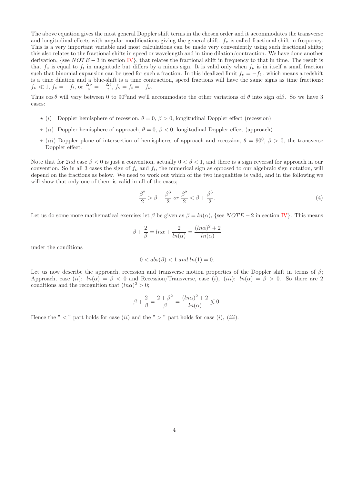The above equation gives the most general Doppler shift terms in the chosen order and it accommodates the transverse and longitudinal effects with angular modifications giving the general shift.  $f_{\nu}$  is called fractional shift in frequency. This is a very important variable and most calculations can be made very conveniently using such fractional shifts; this also relates to the fractional shifts in speed or wavelength and in time dilation/contraction. We have done another derivation, {see  $NOTE - 3$  in section [IV}](#page-6-0), that relates the fractional shift in frequency to that in time. The result is that  $f_{\nu}$  is equal to  $f_t$  in magnitude but differs by a minus sign. It is valid only when  $f_{\nu}$  is in itself a small fraction such that binomial expansion can be used for such a fraction. In this idealized limit  $f_{\nu} = -f_t$ , which means a redshift is a time dilation and a blue-shift is a time contraction, speed fractions will have the same signs as time fractions:  $f_{\nu} \ll 1$ ,  $f_{\nu} = -f_t$ , or  $\frac{\Delta \nu}{\nu} = -\frac{\Delta t}{t}$ ,  $f_{\nu} = f_t = -f_{\nu}$ .

Thus  $\cos \theta$  will vary between 0 to 90<sup>0</sup>and we'll accommodate the other variations of  $\theta$  into sign ofβ. So we have 3 cases:

- $\star$  (i) Doppler hemisphere of recession,  $\theta = 0$ ,  $\beta > 0$ , longitudinal Doppler effect (recession)
- $\star$  (ii) Doppler hemisphere of approach,  $\theta = 0$ ,  $\beta < 0$ , longitudinal Doppler effect (approach)
- $\star$  (iii) Doppler plane of intersection of hemispheres of approach and recession,  $\theta = 90^0$ ,  $\beta > 0$ , the transverse Doppler effect.

Note that for 2nd case  $\beta < 0$  is just a convention, actually  $0 < \beta < 1$ , and there is a sign reversal for approach in our convention. So in all 3 cases the sign of  $f_{\nu}$  and  $f_{t}$ , the numerical sign as opposed to our algebraic sign notation, will depend on the fractions as below. We need to work out which of the two inequalities is valid, and in the following we will show that only one of them is valid in all of the cases;

$$
\frac{\beta^2}{2} > \beta + \frac{\beta^3}{2} \text{ or } \frac{\beta^2}{2} < \beta + \frac{\beta^3}{2}.
$$
 (4)

Let us do some more mathematical exercise; let  $\beta$  be given as  $\beta = ln(\alpha)$ , {see NOTE – 2 in section [IV}](#page-6-0). This means

$$
\beta + \frac{2}{\beta} = \ln \alpha + \frac{2}{\ln(\alpha)} = \frac{(\ln \alpha)^2 + 2}{\ln(\alpha)}
$$

under the conditions

$$
0 < abs(\beta) < 1 \text{ and } ln(1) = 0.
$$

Let us now describe the approach, recession and transverse motion properties of the Doppler shift in terms of  $\beta$ ; Approach, case (ii):  $ln(\alpha) = \beta < 0$  and Recession/Transverse, case (i), (iii):  $ln(\alpha) = \beta > 0$ . So there are 2 conditions and the recognition that  $(ln\alpha)^2 > 0$ ;

$$
\beta + \frac{2}{\beta} = \frac{2 + \beta^2}{\beta} = \frac{(ln\alpha)^2 + 2}{ln(\alpha)} \le 0.
$$

Hence the "  $\lt$  " part holds for case (ii) and the "  $>$  " part holds for case (i), (iii).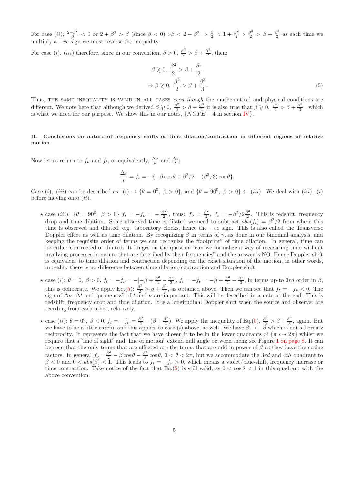For case (ii);  $\frac{2+\beta^2}{\beta} < 0$  or  $2+\beta^2 > \beta$  (since  $\beta < 0$ ) $\Rightarrow \beta < 2+\beta^2 \Rightarrow \frac{\beta}{2} < 1+\frac{\beta^2}{2} \Rightarrow \frac{\beta^2}{2} > \beta+\frac{\beta^3}{2}$  $\frac{3}{2}$  as each time we multiply a  $-ve$  sign we must reverse the inequality.

For case (*i*), (*iii*) therefore, since in our convention,  $\beta > 0$ ,  $\frac{\beta^2}{2} > \beta + \frac{\beta^3}{2}$  $\frac{5}{2}$ , then;

<span id="page-5-0"></span>
$$
\beta \geqslant 0, \frac{\beta^2}{2} > \beta + \frac{\beta^3}{2}
$$
  
\n
$$
\Rightarrow \beta \geqslant 0, \frac{\beta^2}{2} > \beta + \frac{\beta^3}{3}.
$$
\n(5)

Thus, THE SAME INEQUALITY IS VALID IN ALL CASES even though the mathematical and physical conditions are different. We note here that although we derived  $\beta \geqslant 0$ ,  $\frac{\beta^2}{2} > \beta + \frac{\beta^3}{2}$  $\frac{\beta^3}{2}$  it is also true that  $\beta \geqslant 0$ ,  $\frac{\beta^2}{2} > \beta + \frac{\beta^3}{3}$  $rac{3}{3}$ , which is what we need for our purpose. We show this in our notes,  $\{NOTE - 4$  in section IV $\}$ .

#### B. Conclusions on nature of frequency shifts or time dilation/contraction in different regions of relative motion

Now let us return to  $f_{\nu}$  and  $f_t$ , or equivalently,  $\frac{\Delta \nu}{\nu}$  and  $\frac{\Delta t}{t}$ ;

$$
\frac{\Delta t}{t} = f_t = -\{-\beta \cos \theta + \beta^2/2 - (\beta^3/3)\cos \theta\}.
$$

Case (i), (iii) can be described as: (i)  $\rightarrow {\theta = 0^0, \ \beta > 0}$ , and  ${\theta = 90^0, \ \beta > 0} \leftarrow (iii)$ . We deal with (iii), (i) before moving onto  $(ii)$ .

- \* case (iii): { $\theta = 90^0$ ,  $\beta > 0$ }  $f_t = -f_\nu = -[\frac{\beta^2}{2}]$  $\frac{\beta^2}{2}$ , thus:  $f_{\nu} = \frac{\beta^2}{2}$  $\frac{\beta^2}{2}$ ,  $f_t = -\beta^2/2\frac{\beta^2}{2}$  $\frac{3^2}{2}$ . This is redshift, frequency drop and time dilation. Since observed time is dilated we need to subtract  $abs(f_t) = \beta^2/2$  from where this time is observed and dilated, e.g. laboratory clocks, hence the −ve sign. This is also called the Transverse Doppler effect as well as time dilation. By recognizing  $\beta$  in terms of  $\gamma$ , as done in our binomial analysis, and keeping the requisite order of terms we can recognize the "footprint" of time dilation. In general, time can be either contracted or dilated. It hinges on the question "can we formalize a way of measuring time without involving processes in nature that are described by their frequencies" and the answer is NO. Hence Doppler shift is equivalent to time dilation and contraction depending on the exact situation of the motion, in other words, in reality there is no difference between time dilation/contraction and Doppler shift.
- **★** case (*i*):  $\theta = 0, \ \beta > 0, \ f_t = -f_\nu = -[-\beta + \frac{\beta^2}{2} \frac{\beta^3}{3}]$  $\left[\frac{3^3}{3}\right]$ ,  $f_t = -f_\nu = -\beta + \frac{\beta^2}{2} - \frac{\beta^3}{3}$  $\frac{3}{3}$ , in terms up-to 3rd order in  $\beta$ , this is deliberate. We apply Eq.[\(5\)](#page-5-0):  $\frac{\beta^2}{2} > \beta + \frac{\beta^3}{3}$  $\frac{3}{3}$ , as obtained above. Then we can see that  $f_t = -f_\nu < 0$ . The sign of  $\Delta \nu$ ,  $\Delta t$  and "primeness" of t and  $\nu$  are important. This will be described in a note at the end. This is redshift, frequency drop and time dilation. It is a longitudinal Doppler shift when the source and observer are receding from each other, relatively.
- ★ case (*ii*):  $θ = 0^0$ ,  $β < 0$ ,  $f_t = -f_\nu = \frac{β^2}{2} (β + \frac{β^3}{3})$  $\frac{\beta^3}{3}$ ). We apply the inequality of Eq.[\(5\)](#page-5-0),  $\frac{\beta^2}{2} > \beta + \frac{\beta^3}{3}$  $\frac{3^2}{3}$ , again. But we have to be a little careful and this applies to case (i) above, as well. We have  $\beta \to -\beta$  which is not a Lorentz reciprocity. It represents the fact that we have chosen it to be in the lower quadrants of  $\{\pi \leftrightarrow 2\pi\}$  whilst we require that a "line of sight" and "line of motion" extend null angle between them; see Figure [1 on page 8.](#page-8-0) It can be seen that the only terms that are affected are the terms that are odd in power of  $\beta$  as they have the cosine factors. In general  $f_{\nu} = \frac{\beta^2}{2} - \beta \cos \theta - \frac{\beta^3}{3}$  $\frac{3}{3}$  cos  $\theta$ ,  $0 < \theta < 2\pi$ , but we accommodate the 3rd and 4th quadrant to  $\beta < 0$  and  $0 < abs(\beta) < 1$ . This leads to  $f_t = -f_\nu > 0$ , which means a violet/blue-shift, frequency increase or time contraction. Take notice of the fact that Eq.[\(5\)](#page-5-0) is still valid, as  $0 < \cos \theta < 1$  in this quadrant with the above convention.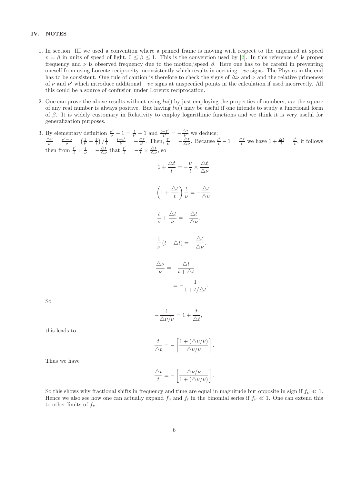#### <span id="page-6-0"></span>IV. NOTES

- 1. In section−III we used a convention where a primed frame is moving with respect to the unprimed at speed  $v = \beta$  in units of speed of light,  $0 \le \beta \le 1$ . This is the convention used by [\[2\]](#page-10-1). In this reference  $\nu'$  is proper frequency and ν is observed frequency due to the motion/speed β. Here one has to be careful in preventing oneself from using Lorentz reciprocity inconsistently which results in accruing  $-ve$  signs. The Physics in the end has to be consistent. One rule of caution is therefore to check the signs of  $\Delta \nu$  and  $\nu$  and the relative primeness of  $\nu$  and  $\nu'$  which introduce additional  $-ve$  signs at unspecified points in the calculation if used incorrectly. All this could be a source of confusion under Lorentz reciprocation.
- 2. One can prove the above results without using  $ln()$  by just employing the properties of numbers, *viz* the square of any real number is always positive. But having  $ln()$  may be useful if one intends to study a functional form of β. It is widely customary in Relativity to employ logarithmic functions and we think it is very useful for generalization purposes.
- 3. By elementary definition  $\frac{\nu'}{\nu} 1 = \frac{t}{t'} 1$  and  $\frac{t t'}{t'}$  $\frac{-t'}{t'} = -\frac{\Delta t}{t'}$  we deduce:  $\frac{\Delta \nu}{\nu} = \frac{\nu' - \nu}{\nu} = \left(\frac{1}{t'} - \frac{1}{t}\right) / \frac{1}{t} = \frac{t - t'}{t'}$  $\frac{-t'}{t'} = -\frac{\Delta t}{t'}$ . Then,  $\frac{t'}{\nu} = -\frac{\Delta t}{\Delta \nu}$ . Because  $\frac{t'}{t} - 1 = \frac{\Delta t}{t}$  we have  $1 + \frac{\Delta t}{t} = \frac{t'}{t}$  $\frac{t}{t}$ , it follows then from  $\frac{t'}{t} \times \frac{t}{\nu} = -\frac{\Delta t}{\Delta \nu}$  that  $\frac{t'}{t} = -\frac{\nu}{t} \times \frac{\Delta t}{\Delta \nu}$ , so

$$
1 + \frac{\Delta t}{t} = -\frac{\nu}{t} \times \frac{\Delta t}{\Delta \nu}.
$$

$$
\left(1 + \frac{\Delta t}{t}\right) \frac{t}{\nu} = -\frac{\Delta t}{\Delta \nu}
$$

$$
\frac{t}{\nu} + \frac{\Delta t}{\nu} = -\frac{\Delta t}{\Delta \nu}.
$$

$$
\frac{1}{\nu} \left(t + \Delta t\right) = -\frac{\Delta t}{\Delta \nu}.
$$

$$
\frac{\Delta \nu}{\nu} = -\frac{\Delta t}{t + \Delta t}
$$

$$
= -\frac{1}{1 + t/\Delta t}.
$$

.

So

$$
-\frac{1}{\Delta \nu/\nu} = 1 + \frac{t}{\Delta t},
$$

this leads to

$$
\frac{t}{\Delta t} = -\left[\frac{1+(\Delta \nu/\nu)}{\Delta \nu/\nu}\right].
$$

Thus we have

$$
\frac{\Delta t}{t} = -\left[\frac{\Delta \nu/\nu}{1 + (\Delta \nu/\nu)}\right].
$$

So this shows why fractional shifts in frequency and time are equal in magnitude but opposite in sign if  $f_{\nu} \ll 1$ . Hence we also see how one can actually expand  $f_{\nu}$  and  $f_t$  in the binomial series if  $f_{\nu} \ll 1$ . One can extend this to other limits of  $f_{\nu}$ .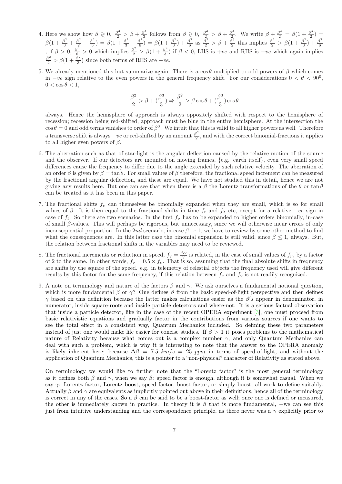- 4. Here we show how  $\beta \geq 0$ ,  $\frac{\beta^2}{2} > \beta + \frac{\beta^3}{3}$  $\frac{\beta^3}{3}$  follows from  $\beta \geqslant 0$ ,  $\frac{\beta^2}{2} > \beta + \frac{\beta^3}{2}$  $\frac{\beta^3}{2}$ . We write  $\beta + \frac{\beta^3}{2} = \beta(1 + \frac{\beta^2}{2})$  $(\frac{5}{2})$  =  $\beta(1+\frac{\beta^2}{3}+\frac{\beta^2}{2})$  $rac{\beta^2}{2} - \frac{\beta^2}{3}$  $\frac{\beta^2}{3}$ ) =  $\beta(1+\frac{\beta^2}{3}+\frac{\beta^2}{6})$  $\frac{\beta^2}{6}$ ) =  $\beta(1+\frac{\beta^2}{3})$  $\left(\frac{3^2}{3}\right) + \frac{\beta^3}{6}$  $\frac{\beta^3}{6}$  as  $\frac{\beta^2}{2} > \beta + \frac{\beta^3}{2}$  $\frac{5^3}{2}$  this implies  $\frac{\beta^2}{2} > \beta(1 + \frac{\beta^2}{3})$  $(\frac{3^2}{3})^2 + \frac{\beta^3}{6}$ 6 , if  $\beta > 0$ ,  $\frac{\beta^3}{6} > 0$  which implies  $\frac{\beta^2}{2} > \beta(1 + \frac{\beta^2}{3})$ , if  $\beta > 0$ ,  $\frac{\beta}{6} > 0$  which implies  $\frac{\beta}{2} > \beta(1 + \frac{\beta}{3})$  if  $\beta < 0$ , LHS is +ve and RHS is  $-ve$  which again implies  $\frac{\beta^2}{2} > \beta(1 + \frac{\beta^2}{3})$  since both terms of RHS are  $-ve$ .  $\frac{3^{5}}{3}$ ) since both terms of RHS are  $-ve$ .
- 5. We already mentioned this but summarize again: There is a  $\cos\theta$  multiplied to odd powers of  $\beta$  which comes in  $-ve$  sign relative to the even powers in the general frequency shift. For our considerations  $0 < \theta < 90^0$ ,  $0 < \cos \theta < 1$ ,

$$
\frac{\beta^2}{2} > \beta + (\frac{\beta^3}{3}) \Rightarrow \frac{\beta^2}{2} > \beta \cos \theta + (\frac{\beta^3}{3}) \cos \theta
$$

always. Hence the hemisphere of approach is always oppositely shifted with respect to the hemisphere of recession; recession being red-shifted, approach must be blue in the entire hemisphere. At the intersection the  $\cos \theta = 0$  and odd terms vanishes to order of  $\beta^3$ . We intuit that this is valid to all higher powers as well. Therefore a transverse shift is always +ve or red-shifted by an amount  $\frac{\beta^2}{2}$  $\frac{3}{2}$ , and with the correct binomial-fractions it applies to all higher even powers of  $\beta$ .

- 6. The aberration such as that of star-light is the angular deflection caused by the relative motion of the source and the observer. If our detectors are mounted on moving frames, {e.g. earth itself}, even very small speed differences cause the frequency to differ due to the angle extended by such relative velocity. The aberration of an order  $\beta$  is given by  $\beta = \tan \theta$ . For small values of  $\beta$  therefore, the fractional speed increment can be measured by the fractional angular deflection, and these are equal. We have not studied this in detail, hence we are not giving any results here. But one can see that when there is a  $\beta$  the Lorentz transformations of the  $\theta$  or tan  $\theta$ can be treated as it has been in this paper.
- 7. The fractional shifts  $f_{\nu}$  can themselves be binomially expanded when they are small, which is so for small values of β. It is then equal to the fractional shifts in time  $f_t$  and  $f_\lambda$  etc, except for a relative  $-ve$  sign in case of  $f_t$ . So there are two scenarios. In the first  $f_{\nu}$  has to be expanded to higher orders binomially, in-case of small β-values. This will perhaps be rigorous, but unnecessary, since we will otherwise incur errors of only inconsequential proportion. In the 2nd scenario, in-case  $\beta \rightarrow 1$ , we have to review by some other method to find what the consequences are. In this latter case the binomial expansion is still valid, since  $\beta \leq 1$ , always. But, the relation between fractional shifts in the variables may need to be reviewed.
- 8. The fractional increments or reduction in speed,  $f_v = \frac{\Delta v}{v}$  is related, in the case of small values of  $f_v$ , by a factor of 2 to the same. In other words,  $f_v = 0.5 \times f_\nu$ . That is so, assuming that the final absolute shifts in frequency are shifts by the square of the speed. e.g. in telemetry of celestial objects the frequency used will give different results by this factor for the same frequency, if this relation between  $f_{\nu}$  and  $f_{\nu}$  is not readily recognized.
- 9. A note on terminology and nature of the factors  $\beta$  and  $\gamma$ . We ask ourselves a fundamental notional question, which is more fundamental  $\beta$  or  $\gamma$ ? One defines  $\beta$  from the basic speed-of-light perspective and then defines  $\gamma$  based on this definition because the latter makes calculations easier as the  $\beta's$  appear in denominator, in numerator, inside square-roots and inside particle detectors and where-not. It is a serious factual observation that inside a particle detector, like in the case of the recent OPERA experiment [\[3](#page-10-2)], one must proceed from basic relativistic equations and gradually factor in the contributions from various sources if one wants to see the total effect in a consistent way, Quantum Mechanics included. So defining these two parameters instead of just one would make life easier for concise studies. If  $\beta > 1$  it poses problems to the mathematical nature of Relativity because what comes out is a complex number  $\gamma$ , and only Quantum Mechanics can deal with such a problem, which is why it is interesting to note that the answer to the OPERA anomaly is likely inherent here; because  $\Delta\beta = 7.5 \ km/s = 25 \ ppm$  in terms of speed-of-light, and without the application of Quantum Mechanics, this is a pointer to a "non-physical" character of Relativity as stated above.

On terminology we would like to further note that the "Lorentz factor" is the most general terminology as it defines both  $\beta$  and  $\gamma$ , when we say  $\beta$ : speed factor is enough, although it is somewhat casual. When we say  $\gamma$ : Lorentz factor, Lorentz boost, speed factor, boost factor, or simply boost, all work to define suitably. Actually  $\beta$  and  $\gamma$  are equivalents as implicitly pointed out above in their definitions, hence all of the terminology is correct in any of the cases. So a  $\beta$  can be said to be a boost-factor as well; once one is defined or measured, the other is immediately known in practice. In theory it is  $\beta$  that is more fundamental, –we can see this just from intuitive understanding and the correspondence principle, as there never was a  $\gamma$  explicitly prior to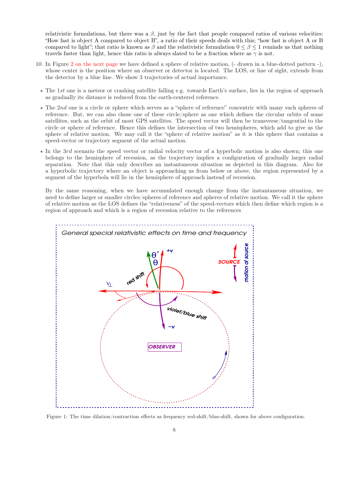relativistic formulations, but there was a  $\beta$ , just by the fact that people compared ratios of various velocities: "How fast is object A compared to object B", a ratio of their speeds deals with this; "how fast is object A or B compared to light"; that ratio is known as  $\beta$  and the relativistic formulation  $0 \leq \beta \leq 1$  reminds us that nothing travels faster than light, hence this ratio is always slated to be a fraction where as  $\gamma$  is not.

- <span id="page-8-1"></span>10. In Figure [2 on the next page](#page-9-0) we have defined a sphere of relative motion, (- drawn in a blue-dotted pattern -), whose center is the position where an observer or detector is located. The LOS, or line of sight, extends from the detector by a blue line. We show 3 trajectories of actual importance.
	- $\star$  The 1st one is a meteor or crashing satellite falling e.g. towards Earth's surface, lies in the region of approach as gradually its distance is reduced from the earth-centered reference.
	- $\star$  The 2nd one is a circle or sphere which serves as a "sphere of reference" concentric with many such spheres of reference. But, we can also chose one of these circle/sphere as one which defines the circular orbits of some satellites, such as the orbit of most GPS satellites. The speed vector will then be transverse/tangential to the circle or sphere of reference. Hence this defines the intersection of two hemispheres, which add to give us the sphere of relative motion. We may call it the "sphere of relative motion" as it is this sphere that contains a speed-vector or trajectory segment of the actual motion.
	- $\star$  In the 3rd scenario the speed vector or radial velocity vector of a hyperbolic motion is also shown; this one belongs to the hemisphere of recession, as the trajectory implies a configuration of gradually larger radial separation. Note that this only describes an instantaneous situation as depicted in this diagram. Also for a hyperbolic trajectory where an object is approaching us from below or above, the region represented by a segment of the hyperbola will lie in the hemisphere of approach instead of recession.

By the same reasoning, when we have accumulated enough change from the instantaneous situation, we need to define larger or smaller circles/spheres of reference and spheres of relative motion. We call it the sphere of relative motion as the LOS defines the "relativeness" of the speed-vectors which then define which region is a region of approach and which is a region of recession relative to the references



<span id="page-8-0"></span>Figure 1: The time dilation/contraction effects as frequency red-shift/blue-shift, shown for above configuration.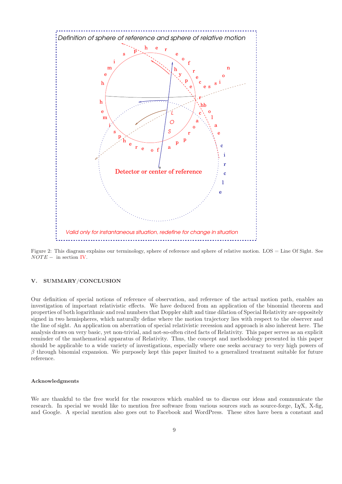

<span id="page-9-0"></span>Figure 2: This diagram explains our terminology, sphere of reference and sphere of relative motion. LOS = Line Of Sight. See  $\overline{NOTE}$  – in section [IV.](#page-6-0)

#### V. SUMMARY/CONCLUSION

Our definition of special notions of reference of observation, and reference of the actual motion path, enables an investigation of important relativistic effects. We have deduced from an application of the binomial theorem and properties of both logarithmic and real numbers that Doppler shift and time dilation of Special Relativity are oppositely signed in two hemispheres, which naturally define where the motion trajectory lies with respect to the observer and the line of sight. An application on aberration of special relativistic recession and approach is also inherent here. The analysis draws on very basic, yet non-trivial, and not-so-often cited facts of Relativity. This paper serves as an explicit reminder of the mathematical apparatus of Relativity. Thus, the concept and methodology presented in this paper should be applicable to a wide variety of investigations, especially where one seeks accuracy to very high powers of  $\beta$  through binomial expansion. We purposely kept this paper limited to a generalized treatment suitable for future reference.

#### Acknowledgments

We are thankful to the free world for the resources which enabled us to discuss our ideas and communicate the research. In special we would like to mention free software from various sources such as source-forge, LYX, X-fig, and Google. A special mention also goes out to Facebook and WordPress. These sites have been a constant and